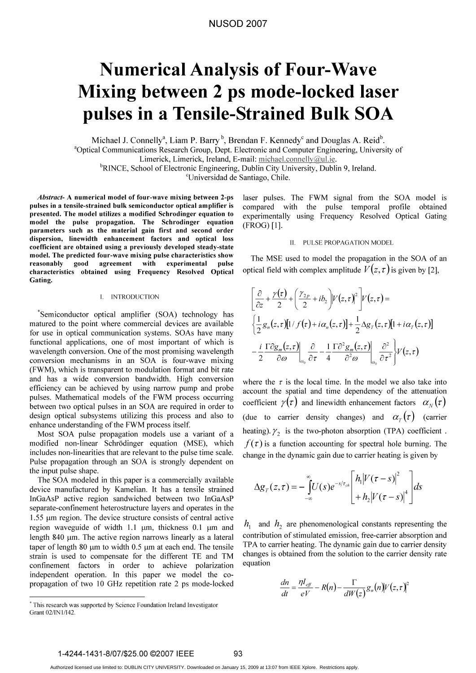# NUSOD 2007

# Numerical Analysis of Four-Wave Mixing between 2 ps mode-locked laser pulses in <sup>a</sup> Tensile-Strained Bulk SOA

Michael J. Connelly<sup>a</sup>, Liam P. Barry<sup>b</sup>, Brendan F. Kennedy<sup>c</sup> and Douglas A. Reid<sup>b</sup>. <sup>a</sup>Optical Communications Research Group, Dept. Electronic and Computer Engineering, University of Limerick, Limerick, Ireland, E-mail: michael.connelly@ul.ie. <sup>b</sup>RINCE, School of Electronic Engineering, Dublin City University, Dublin 9, Ireland.

cUniversidad de Santiago, Chile.

Abstract- A numerical model of four-wave mixing between 2-ps pulses in a tensile-strained bulk semiconductor optical amplifier is presented. The model utilizes a modified Schrodinger equation to model the pulse propagation. The Schrodinger equation parameters such as the material gain first and second order dispersion, linewidth enhancement factors and optical loss coefficient are obtained using a previously developed steady-state model. The predicted four-wave mixing pulse characteristics show reasonably good agreement with experimental pulse characteristics obtained using Frequency Resolved Optical Gating.

### 1. INTRODUCTION

Semiconductor optical amplifier (SOA) technology has matured to the point where commercial devices are available for use in optical communication systems. SOAs have many functional applications, one of most important of which is wavelength conversion. One of the most promising wavelength conversion mechanisms in an SOA is four-wave mixing (FWM), which is transparent to modulation format and bit rate and has a wide conversion bandwidth. High conversion efficiency can be achieved by using narrow pump and probe pulses. Mathematical models of the FWM process occurring between two optical pulses in an SOA are required in order to design optical subsystems utilizing this process and also to enhance understanding of the FWM process itself.

Most SOA pulse propagation models use <sup>a</sup> variant of <sup>a</sup> modified non-linear Schrödinger equation (MSE), which includes non-linearities that are relevant to the pulse time scale. Pulse propagation through an SOA is strongly dependent on the input pulse shape.

The SOA modeled in this paper is <sup>a</sup> commercially available device manufactured by Kamelian. It has a tensile strained InGaAsP active region sandwiched between two InGaAsP separate-confinement heterostructure layers and operates in the  $1.55$   $\mu$ m region. The device structure consists of central active region waveguide of width 1.1  $\mu$ m, thickness 0.1  $\mu$ m and length 840 µm. The active region narrows linearly as a lateral taper of length 80  $\mu$ m to width 0.5  $\mu$ m at each end. The tensile strain is used to compensate for the different TE and TM confinement factors in order to achieve polarization independent operation. In this paper we model the copropagation of two <sup>10</sup> GHz repetition rate 2 ps mode-locked

laser pulses. The FWM signal from the SOA model is compared with the pulse temporal profile obtained experimentally using Frequency Resolved Optical Gating (FROG) [1].

#### II. PULSE PROPAGATION MODEL

The MSE used to model the propagation in the SOA of an optical field with complex amplitude  $V(z, \tau)$  is given by [2],

$$
\begin{aligned}\n&\left[\frac{\partial}{\partial z} + \frac{\gamma(\tau)}{2} + \left(\frac{\gamma_{2p}}{2} + ib_2\right) |V(z,\tau)|^2\right] V(z,\tau) = \\
&\left[\frac{1}{2} g_n(z,\tau) [1/f(\tau) + i\alpha_n(z,\tau)] + \frac{1}{2} \Delta g_T(z,\tau) [1 + i\alpha_T(z,\tau)]\right] \\
&- \frac{i}{2} \frac{\Gamma \partial g_m(z,\tau)}{\partial \omega} \bigg|_{\omega_0} \frac{\partial}{\partial \tau} - \frac{1}{4} \frac{\Gamma \partial^2 g_m(z,\tau)}{\partial^2 \omega} \bigg|_{\omega_0} \frac{\partial^2}{\partial \tau^2} \bigg\} V(z,\tau)\n\end{aligned}
$$

where the  $\tau$  is the local time. In the model we also take into account the spatial and time dependency of the attenuation coefficient  $\gamma(\tau)$  and linewidth enhancement factors  $\alpha_{N}(\tau)$ (due to carrier density changes) and  $\alpha_r(\tau)$  (carrier heating).  $\gamma_2$  is the two-photon absorption (TPA) coefficient.  $f(\tau)$  is a function accounting for spectral hole burning. The change in the dynamic gain due to carrier heating is given by

$$
\Delta g_T(z,\tau) = -\int_{-\infty}^{\infty} U(s)e^{-s/\tau_{ch}} \left[\frac{h_1|V(\tau-s)|^2}{h_2|V(\tau-s)|^4}\right]ds
$$

 $h_1$  and  $h_2$  are phenomenological constants representing the contribution of stimulated emission, free-carrier absorption and TPA to carrier heating. The dynamic gain due to carrier density changes is obtained from the solution to the carrier density rate equation

$$
\frac{dn}{dt} = \frac{\eta I_{\text{eff}}}{eV} - R(n) - \frac{\Gamma}{dW(z)} g_n(n) V(z, \tau)^2
$$

1-4244-1431-8/07/\$25.00 ©2007 IEEE 93

This research was supported by Science Foundation Ireland Investigator Grant 02/INI/142.